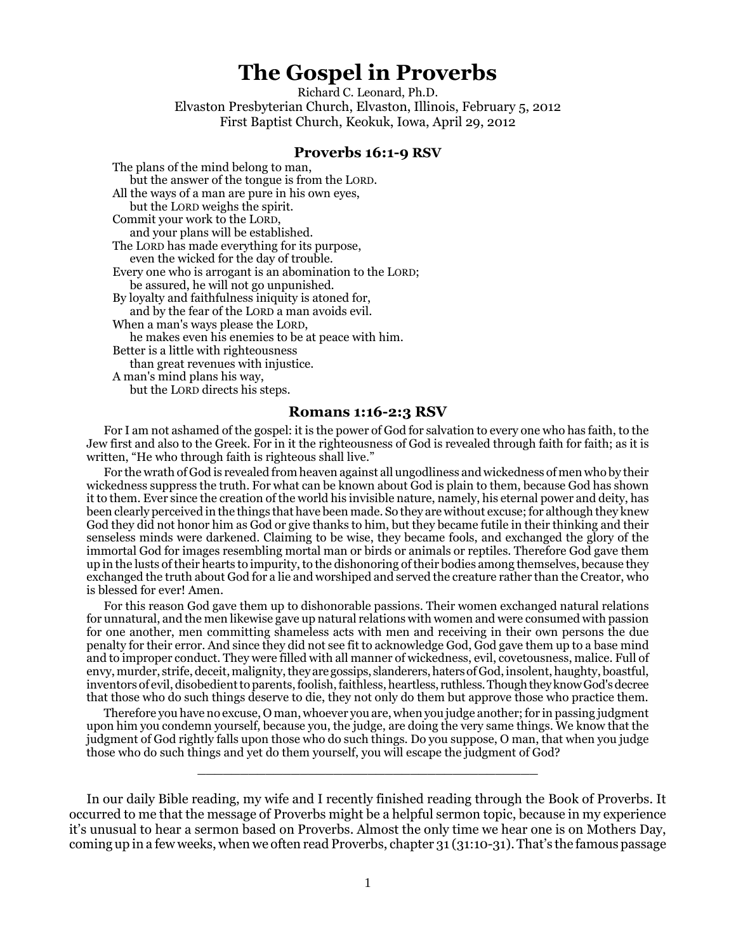## **The Gospel in Proverbs**

Richard C. Leonard, Ph.D. Elvaston Presbyterian Church, Elvaston, Illinois, February 5, 2012 First Baptist Church, Keokuk, Iowa, April 29, 2012

## **Proverbs 16:1-9 RSV**

The plans of the mind belong to man, but the answer of the tongue is from the LORD. All the ways of a man are pure in his own eyes, but the LORD weighs the spirit. Commit your work to the LORD, and your plans will be established. The LORD has made everything for its purpose, even the wicked for the day of trouble. Every one who is arrogant is an abomination to the LORD; be assured, he will not go unpunished. By loyalty and faithfulness iniquity is atoned for, and by the fear of the LORD a man avoids evil. When a man's ways please the LORD, he makes even his enemies to be at peace with him. Better is a little with righteousness than great revenues with injustice. A man's mind plans his way, but the LORD directs his steps.

## **Romans 1:16-2:3 RSV**

For I am not ashamed of the gospel: it is the power of God for salvation to every one who has faith, to the Jew first and also to the Greek. For in it the righteousness of God is revealed through faith for faith; as it is written, "He who through faith is righteous shall live."

For the wrath of God is revealed from heaven against all ungodliness and wickedness of men who by their wickedness suppress the truth. For what can be known about God is plain to them, because God has shown it to them. Ever since the creation of the world his invisible nature, namely, his eternal power and deity, has been clearly perceived in the things that have been made. So they are without excuse; for although they knew God they did not honor him as God or give thanks to him, but they became futile in their thinking and their senseless minds were darkened. Claiming to be wise, they became fools, and exchanged the glory of the immortal God for images resembling mortal man or birds or animals or reptiles. Therefore God gave them up in the lusts of their hearts to impurity, to the dishonoring of their bodies among themselves, because they exchanged the truth about God for a lie and worshiped and served the creature rather than the Creator, who is blessed for ever! Amen.

For this reason God gave them up to dishonorable passions. Their women exchanged natural relations for unnatural, and the men likewise gave up natural relations with women and were consumed with passion for one another, men committing shameless acts with men and receiving in their own persons the due penalty for their error. And since they did not see fit to acknowledge God, God gave them up to a base mind and to improper conduct. They were filled with all manner of wickedness, evil, covetousness, malice. Full of envy, murder, strife, deceit, malignity, they are gossips, slanderers, haters of God, insolent, haughty, boastful, inventors of evil, disobedient to parents, foolish, faithless, heartless, ruthless. Though they know God's decree that those who do such things deserve to die, they not only do them but approve those who practice them.

Therefore you have no excuse, O man, whoever you are, when you judge another; for in passing judgment upon him you condemn yourself, because you, the judge, are doing the very same things. We know that the judgment of God rightly falls upon those who do such things. Do you suppose, O man, that when you judge those who do such things and yet do them yourself, you will escape the judgment of God?

\_\_\_\_\_\_\_\_\_\_\_\_\_\_\_\_\_\_\_\_\_\_\_\_\_\_\_\_\_\_\_\_\_\_\_\_\_\_\_\_

In our daily Bible reading, my wife and I recently finished reading through the Book of Proverbs. It occurred to me that the message of Proverbs might be a helpful sermon topic, because in my experience it's unusual to hear a sermon based on Proverbs. Almost the only time we hear one is on Mothers Day, coming up in a few weeks, when we often read Proverbs, chapter 31 (31:10-31). That's the famous passage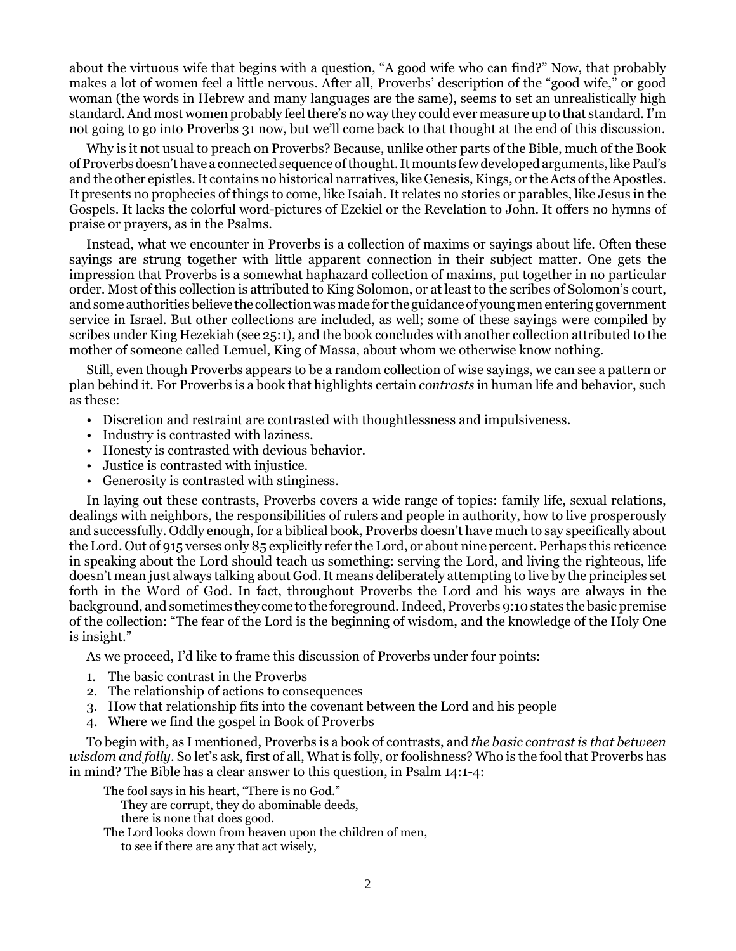about the virtuous wife that begins with a question, "A good wife who can find?" Now, that probably makes a lot of women feel a little nervous. After all, Proverbs' description of the "good wife," or good woman (the words in Hebrew and many languages are the same), seems to set an unrealistically high standard. And most women probably feel there's no way they could ever measure up to that standard. I'm not going to go into Proverbs 31 now, but we'll come back to that thought at the end of this discussion.

Why is it not usual to preach on Proverbs? Because, unlike other parts of the Bible, much of the Book of Proverbs doesn't have a connected sequence of thought. It mounts few developed arguments, like Paul's and the other epistles. It contains no historical narratives, like Genesis, Kings, or the Acts of the Apostles. It presents no prophecies of things to come, like Isaiah. It relates no stories or parables, like Jesus in the Gospels. It lacks the colorful word-pictures of Ezekiel or the Revelation to John. It offers no hymns of praise or prayers, as in the Psalms.

Instead, what we encounter in Proverbs is a collection of maxims or sayings about life. Often these sayings are strung together with little apparent connection in their subject matter. One gets the impression that Proverbs is a somewhat haphazard collection of maxims, put together in no particular order. Most of this collection is attributed to King Solomon, or at least to the scribes of Solomon's court, and some authorities believe the collection was made for the guidance of young men entering government service in Israel. But other collections are included, as well; some of these sayings were compiled by scribes under King Hezekiah (see 25:1), and the book concludes with another collection attributed to the mother of someone called Lemuel, King of Massa, about whom we otherwise know nothing.

Still, even though Proverbs appears to be a random collection of wise sayings, we can see a pattern or plan behind it. For Proverbs is a book that highlights certain *contrasts* in human life and behavior, such as these:

- Discretion and restraint are contrasted with thoughtlessness and impulsiveness.
- Industry is contrasted with laziness.
- Honesty is contrasted with devious behavior.
- Justice is contrasted with injustice.
- Generosity is contrasted with stinginess.

In laying out these contrasts, Proverbs covers a wide range of topics: family life, sexual relations, dealings with neighbors, the responsibilities of rulers and people in authority, how to live prosperously and successfully. Oddly enough, for a biblical book, Proverbs doesn't have much to say specifically about the Lord. Out of 915 verses only 85 explicitly refer the Lord, or about nine percent. Perhaps this reticence in speaking about the Lord should teach us something: serving the Lord, and living the righteous, life doesn't mean just always talking about God. It means deliberately attempting to live by the principles set forth in the Word of God. In fact, throughout Proverbs the Lord and his ways are always in the background, and sometimes they come to the foreground. Indeed, Proverbs 9:10 states the basic premise of the collection: "The fear of the Lord is the beginning of wisdom, and the knowledge of the Holy One is insight."

As we proceed, I'd like to frame this discussion of Proverbs under four points:

- 1. The basic contrast in the Proverbs
- 2. The relationship of actions to consequences
- 3. How that relationship fits into the covenant between the Lord and his people
- 4. Where we find the gospel in Book of Proverbs

To begin with, as I mentioned, Proverbs is a book of contrasts, and *the basic contrast is that between wisdom and folly*. So let's ask, first of all, What is folly, or foolishness? Who is the fool that Proverbs has in mind? The Bible has a clear answer to this question, in Psalm 14:1-4:

The fool says in his heart, "There is no God."

They are corrupt, they do abominable deeds,

- there is none that does good.
- The Lord looks down from heaven upon the children of men, to see if there are any that act wisely,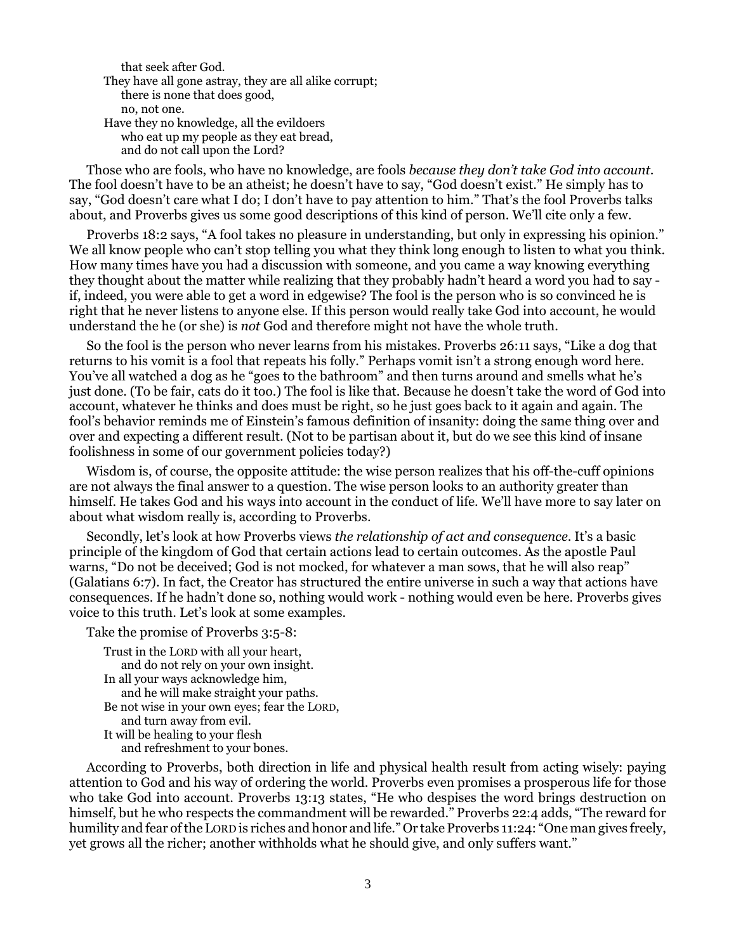that seek after God.

They have all gone astray, they are all alike corrupt; there is none that does good, no, not one. Have they no knowledge, all the evildoers who eat up my people as they eat bread, and do not call upon the Lord?

Those who are fools, who have no knowledge, are fools *because they don't take God into account*. The fool doesn't have to be an atheist; he doesn't have to say, "God doesn't exist." He simply has to say, "God doesn't care what I do; I don't have to pay attention to him." That's the fool Proverbs talks about, and Proverbs gives us some good descriptions of this kind of person. We'll cite only a few.

Proverbs 18:2 says, "A fool takes no pleasure in understanding, but only in expressing his opinion." We all know people who can't stop telling you what they think long enough to listen to what you think. How many times have you had a discussion with someone, and you came a way knowing everything they thought about the matter while realizing that they probably hadn't heard a word you had to say if, indeed, you were able to get a word in edgewise? The fool is the person who is so convinced he is right that he never listens to anyone else. If this person would really take God into account, he would understand the he (or she) is *not* God and therefore might not have the whole truth.

So the fool is the person who never learns from his mistakes. Proverbs 26:11 says, "Like a dog that returns to his vomit is a fool that repeats his folly." Perhaps vomit isn't a strong enough word here. You've all watched a dog as he "goes to the bathroom" and then turns around and smells what he's just done. (To be fair, cats do it too.) The fool is like that. Because he doesn't take the word of God into account, whatever he thinks and does must be right, so he just goes back to it again and again. The fool's behavior reminds me of Einstein's famous definition of insanity: doing the same thing over and over and expecting a different result. (Not to be partisan about it, but do we see this kind of insane foolishness in some of our government policies today?)

Wisdom is, of course, the opposite attitude: the wise person realizes that his off-the-cuff opinions are not always the final answer to a question. The wise person looks to an authority greater than himself. He takes God and his ways into account in the conduct of life. We'll have more to say later on about what wisdom really is, according to Proverbs.

Secondly, let's look at how Proverbs views *the relationship of act and consequence*. It's a basic principle of the kingdom of God that certain actions lead to certain outcomes. As the apostle Paul warns, "Do not be deceived; God is not mocked, for whatever a man sows, that he will also reap" (Galatians 6:7). In fact, the Creator has structured the entire universe in such a way that actions have consequences. If he hadn't done so, nothing would work - nothing would even be here. Proverbs gives voice to this truth. Let's look at some examples.

```
Take the promise of Proverbs 3:5-8:
```

```
Trust in the LORD with all your heart, 
   and do not rely on your own insight.
In all your ways acknowledge him, 
   and he will make straight your paths.
Be not wise in your own eyes; fear the LORD, 
   and turn away from evil.
It will be healing to your flesh 
   and refreshment to your bones.
```
According to Proverbs, both direction in life and physical health result from acting wisely: paying attention to God and his way of ordering the world. Proverbs even promises a prosperous life for those who take God into account. Proverbs 13:13 states, "He who despises the word brings destruction on himself, but he who respects the commandment will be rewarded." Proverbs 22:4 adds, "The reward for humility and fear of the LORD is riches and honor and life." Or take Proverbs 11:24: "One man gives freely, yet grows all the richer; another withholds what he should give, and only suffers want."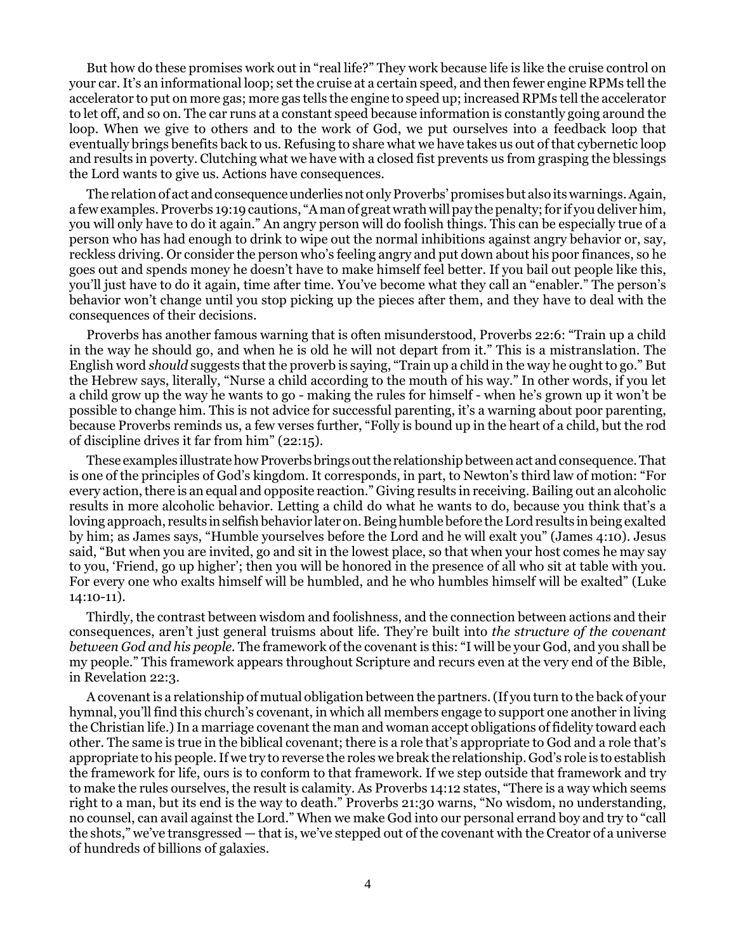But how do these promises work out in "real life?" They work because life is like the cruise control on your car. It's an informational loop; set the cruise at a certain speed, and then fewer engine RPMs tell the accelerator to put on more gas; more gas tells the engine to speed up; increased RPMs tell the accelerator to let off, and so on. The car runs at a constant speed because information is constantly going around the loop. When we give to others and to the work of God, we put ourselves into a feedback loop that eventually brings benefits back to us. Refusing to share what we have takes us out of that cybernetic loop and results in poverty. Clutching what we have with a closed fist prevents us from grasping the blessings the Lord wants to give us. Actions have consequences.

The relation of act and consequence underlies not only Proverbs' promises but also its warnings. Again, a few examples. Proverbs 19:19 cautions, "A man of great wrath will pay the penalty; for if you deliver him, you will only have to do it again." An angry person will do foolish things. This can be especially true of a person who has had enough to drink to wipe out the normal inhibitions against angry behavior or, say, reckless driving. Or consider the person who's feeling angry and put down about his poor finances, so he goes out and spends money he doesn't have to make himself feel better. If you bail out people like this, you'll just have to do it again, time after time. You've become what they call an "enabler." The person's behavior won't change until you stop picking up the pieces after them, and they have to deal with the consequences of their decisions.

Proverbs has another famous warning that is often misunderstood, Proverbs 22:6: "Train up a child in the way he should go, and when he is old he will not depart from it." This is a mistranslation. The English word *should* suggests that the proverb is saying, "Train up a child in the way he ought to go." But the Hebrew says, literally, "Nurse a child according to the mouth of his way." In other words, if you let a child grow up the way he wants to go - making the rules for himself - when he's grown up it won't be possible to change him. This is not advice for successful parenting, it's a warning about poor parenting, because Proverbs reminds us, a few verses further, "Folly is bound up in the heart of a child, but the rod of discipline drives it far from him" (22:15).

These examples illustrate how Proverbs brings out the relationship between act and consequence. That is one of the principles of God's kingdom. It corresponds, in part, to Newton's third law of motion: "For every action, there is an equal and opposite reaction." Giving results in receiving. Bailing out an alcoholic results in more alcoholic behavior. Letting a child do what he wants to do, because you think that's a loving approach, results in selfish behavior later on. Being humble before the Lord results in being exalted by him; as James says, "Humble yourselves before the Lord and he will exalt you" (James 4:10). Jesus said, "But when you are invited, go and sit in the lowest place, so that when your host comes he may say to you, 'Friend, go up higher'; then you will be honored in the presence of all who sit at table with you. For every one who exalts himself will be humbled, and he who humbles himself will be exalted" (Luke 14:10-11).

Thirdly, the contrast between wisdom and foolishness, and the connection between actions and their consequences, aren't just general truisms about life. They're built into *the structure of the covenant between God and his people.* The framework of the covenant is this: "I will be your God, and you shall be my people." This framework appears throughout Scripture and recurs even at the very end of the Bible, in Revelation 22:3.

A covenant is a relationship of mutual obligation between the partners. (If you turn to the back of your hymnal, you'll find this church's covenant, in which all members engage to support one another in living the Christian life.) In a marriage covenant the man and woman accept obligations of fidelity toward each other. The same is true in the biblical covenant; there is a role that's appropriate to God and a role that's appropriate to his people. If we try to reverse the roles we break the relationship. God's role is to establish the framework for life, ours is to conform to that framework. If we step outside that framework and try to make the rules ourselves, the result is calamity. As Proverbs 14:12 states, "There is a way which seems right to a man, but its end is the way to death." Proverbs 21:30 warns, "No wisdom, no understanding, no counsel, can avail against the Lord." When we make God into our personal errand boy and try to "call the shots," we've transgressed — that is, we've stepped out of the covenant with the Creator of a universe of hundreds of billions of galaxies.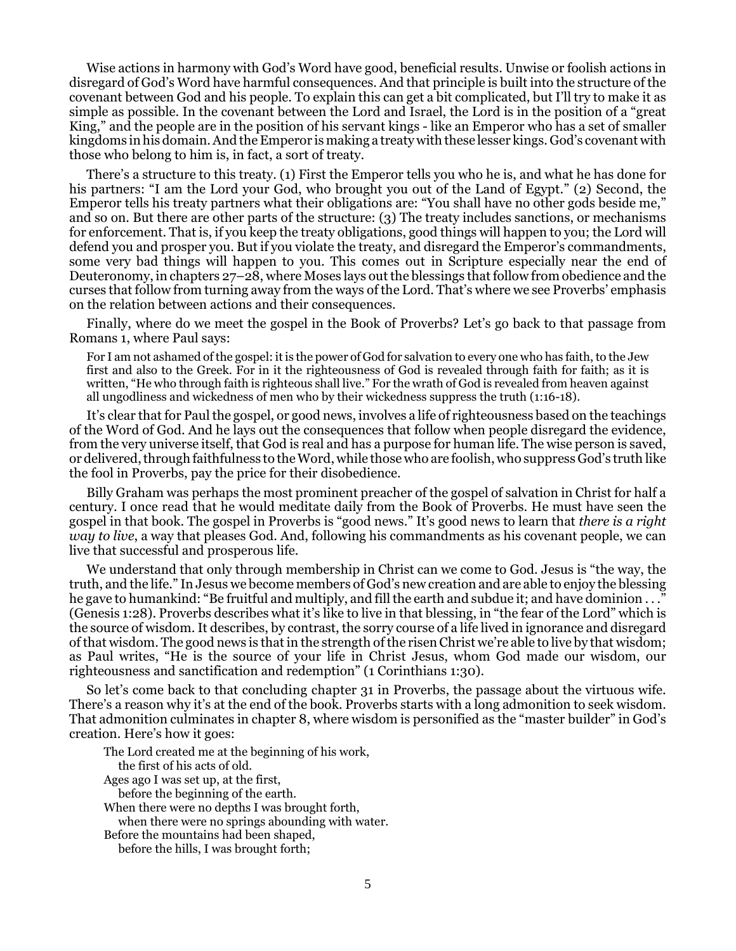Wise actions in harmony with God's Word have good, beneficial results. Unwise or foolish actions in disregard of God's Word have harmful consequences. And that principle is built into the structure of the covenant between God and his people. To explain this can get a bit complicated, but I'll try to make it as simple as possible. In the covenant between the Lord and Israel, the Lord is in the position of a "great King," and the people are in the position of his servant kings - like an Emperor who has a set of smaller kingdoms in his domain. And the Emperor is making a treaty with these lesser kings. God's covenant with those who belong to him is, in fact, a sort of treaty.

There's a structure to this treaty. (1) First the Emperor tells you who he is, and what he has done for his partners: "I am the Lord your God, who brought you out of the Land of Egypt." (2) Second, the Emperor tells his treaty partners what their obligations are: "You shall have no other gods beside me," and so on. But there are other parts of the structure: (3) The treaty includes sanctions, or mechanisms for enforcement. That is, if you keep the treaty obligations, good things will happen to you; the Lord will defend you and prosper you. But if you violate the treaty, and disregard the Emperor's commandments, some very bad things will happen to you. This comes out in Scripture especially near the end of Deuteronomy, in chapters 27–28, where Moses lays out the blessings that follow from obedience and the curses that follow from turning away from the ways of the Lord. That's where we see Proverbs' emphasis on the relation between actions and their consequences.

Finally, where do we meet the gospel in the Book of Proverbs? Let's go back to that passage from Romans 1, where Paul says:

For I am not ashamed of the gospel: it is the power of God for salvation to every one who has faith, to the Jew first and also to the Greek. For in it the righteousness of God is revealed through faith for faith; as it is written, "He who through faith is righteous shall live." For the wrath of God is revealed from heaven against all ungodliness and wickedness of men who by their wickedness suppress the truth (1:16-18).

It's clear that for Paul the gospel, or good news, involves a life of righteousness based on the teachings of the Word of God. And he lays out the consequences that follow when people disregard the evidence, from the very universe itself, that God is real and has a purpose for human life. The wise person is saved, or delivered, through faithfulness to the Word, while those who are foolish, who suppress God's truth like the fool in Proverbs, pay the price for their disobedience.

Billy Graham was perhaps the most prominent preacher of the gospel of salvation in Christ for half a century. I once read that he would meditate daily from the Book of Proverbs. He must have seen the gospel in that book. The gospel in Proverbs is "good news." It's good news to learn that *there is a right way to live*, a way that pleases God. And, following his commandments as his covenant people, we can live that successful and prosperous life.

We understand that only through membership in Christ can we come to God. Jesus is "the way, the truth, and the life." In Jesus we become members of God's new creation and are able to enjoy the blessing he gave to humankind: "Be fruitful and multiply, and fill the earth and subdue it; and have dominion . . ." (Genesis 1:28). Proverbs describes what it's like to live in that blessing, in "the fear of the Lord" which is the source of wisdom. It describes, by contrast, the sorry course of a life lived in ignorance and disregard of that wisdom. The good news is that in the strength of the risen Christ we're able to live by that wisdom; as Paul writes, "He is the source of your life in Christ Jesus, whom God made our wisdom, our righteousness and sanctification and redemption" (1 Corinthians 1:30).

So let's come back to that concluding chapter 31 in Proverbs, the passage about the virtuous wife. There's a reason why it's at the end of the book. Proverbs starts with a long admonition to seek wisdom. That admonition culminates in chapter 8, where wisdom is personified as the "master builder" in God's creation. Here's how it goes:

The Lord created me at the beginning of his work, the first of his acts of old. Ages ago I was set up, at the first, before the beginning of the earth. When there were no depths I was brought forth, when there were no springs abounding with water. Before the mountains had been shaped, before the hills, I was brought forth;